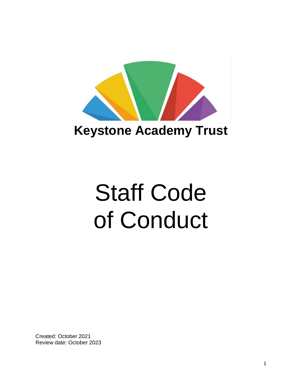

## **Keystone Academy Trust**

# Staff Code of Conduct

Created: October 2021 Review date: October 2023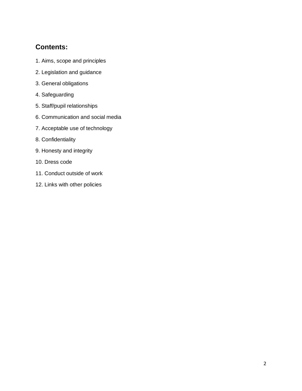### **Contents:**

- 1. Aims, scope and principles
- 2. Legislation and guidance
- 3. General obligations
- 4. Safeguarding
- 5. Staff/pupil relationships
- 6. Communication and social media
- 7. Acceptable use of technology
- 8. Confidentiality
- 9. Honesty and integrity
- 10. Dress code
- 11. Conduct outside of work
- 12. Links with other policies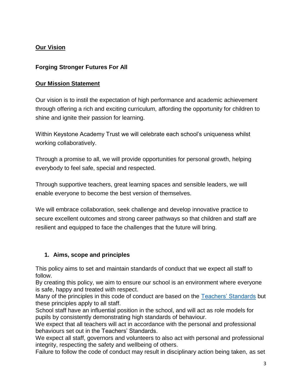#### **Our Vision**

#### **Forging Stronger Futures For All**

#### **Our Mission Statement**

Our vision is to instil the expectation of high performance and academic achievement through offering a rich and exciting curriculum, affording the opportunity for children to shine and ignite their passion for learning.

Within Keystone Academy Trust we will celebrate each school's uniqueness whilst working collaboratively.

Through a promise to all, we will provide opportunities for personal growth, helping everybody to feel safe, special and respected.

Through supportive teachers, great learning spaces and sensible leaders, we will enable everyone to become the best version of themselves.

We will embrace collaboration, seek challenge and develop innovative practice to secure excellent outcomes and strong career pathways so that children and staff are resilient and equipped to face the challenges that the future will bring.

#### **1. Aims, scope and principles**

This policy aims to set and maintain standards of conduct that we expect all staff to follow.

By creating this policy, we aim to ensure our school is an environment where everyone is safe, happy and treated with respect.

Many of the principles in this code of conduct are based on the [Teachers' Standards](https://www.gov.uk/government/uploads/system/uploads/attachment_data/file/301107/Teachers__Standards.pdf) but these principles apply to all staff.

School staff have an influential position in the school, and will act as role models for pupils by consistently demonstrating high standards of behaviour.

We expect that all teachers will act in accordance with the personal and professional behaviours set out in the Teachers' Standards.

We expect all staff, governors and volunteers to also act with personal and professional integrity, respecting the safety and wellbeing of others.

Failure to follow the code of conduct may result in disciplinary action being taken, as set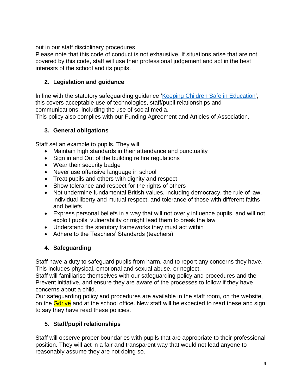out in our staff disciplinary procedures.

Please note that this code of conduct is not exhaustive. If situations arise that are not covered by this code, staff will use their professional judgement and act in the best interests of the school and its pupils.

#### **2. Legislation and guidance**

In line with the statutory safeguarding guidance ['Keeping Children Safe in Education',](https://www.gov.uk/government/publications/keeping-children-safe-in-education--2) this covers acceptable use of technologies, staff/pupil relationships and communications, including the use of social media.

This policy also complies with our Funding Agreement and Articles of Association.

#### **3. General obligations**

Staff set an example to pupils. They will:

- Maintain high standards in their attendance and punctuality
- Sign in and Out of the building re fire regulations
- Wear their security badge
- Never use offensive language in school
- Treat pupils and others with dignity and respect
- Show tolerance and respect for the rights of others
- Not undermine fundamental British values, including democracy, the rule of law, individual liberty and mutual respect, and tolerance of those with different faiths and beliefs
- Express personal beliefs in a way that will not overly influence pupils, and will not exploit pupils' vulnerability or might lead them to break the law
- Understand the statutory frameworks they must act within
- Adhere to the Teachers' Standards (teachers)

#### **4. Safeguarding**

Staff have a duty to safeguard pupils from harm, and to report any concerns they have. This includes physical, emotional and sexual abuse, or neglect.

Staff will familiarise themselves with our safeguarding policy and procedures and the Prevent initiative, and ensure they are aware of the processes to follow if they have concerns about a child.

Our safeguarding policy and procedures are available in the staff room, on the website, on the **Gdrive** and at the school office. New staff will be expected to read these and sign to say they have read these policies.

#### **5. Staff/pupil relationships**

Staff will observe proper boundaries with pupils that are appropriate to their professional position. They will act in a fair and transparent way that would not lead anyone to reasonably assume they are not doing so.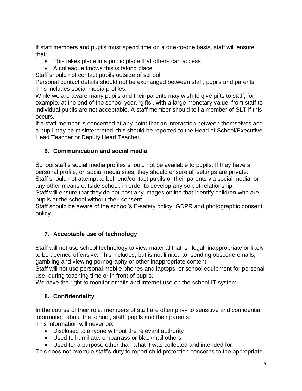If staff members and pupils must spend time on a one-to-one basis, staff will ensure that:

- This takes place in a public place that others can access
- A colleague knows this is taking place

Staff should not contact pupils outside of school.

Personal contact details should not be exchanged between staff, pupils and parents. This includes social media profiles.

While we are aware many pupils and their parents may wish to give gifts to staff, for example, at the end of the school year, 'gifts', with a large monetary value, from staff to individual pupils are not acceptable. A staff member should tell a member of SLT if this occurs.

If a staff member is concerned at any point that an interaction between themselves and a pupil may be misinterpreted, this should be reported to the Head of School/Executive Head Teacher or Deputy Head Teacher.

#### **6. Communication and social media**

School staff's social media profiles should not be available to pupils. If they have a personal profile, on social media sites, they should ensure all settings are private. Staff should not attempt to befriend/contact pupils or their parents via social media, or any other means outside school, in order to develop any sort of relationship.

Staff will ensure that they do not post any images online that identify children who are pupils at the school without their consent.

Staff should be aware of the school's E-safety policy, GDPR and photographic consent policy.

#### **7. Acceptable use of technology**

Staff will not use school technology to view material that is illegal, inappropriate or likely to be deemed offensive. This includes, but is not limited to, sending obscene emails, gambling and viewing pornography or other inappropriate content.

Staff will not use personal mobile phones and laptops, or school equipment for personal use, during teaching time or in front of pupils.

We have the right to monitor emails and internet use on the school IT system.

#### **8. Confidentiality**

In the course of their role, members of staff are often privy to sensitive and confidential information about the school, staff, pupils and their parents.

This information will never be:

- Disclosed to anyone without the relevant authority
- Used to humiliate, embarrass or blackmail others
- Used for a purpose other than what it was collected and intended for

This does not overrule staff's duty to report child protection concerns to the appropriate